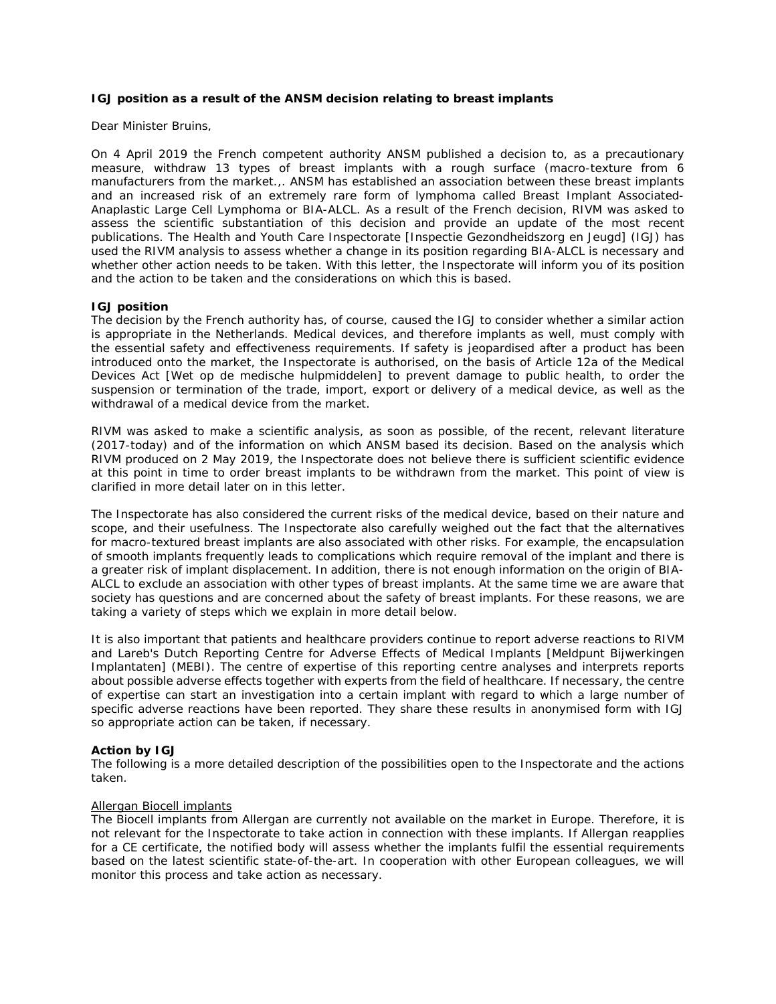# **IGJ position as a result of the ANSM decision relating to breast implants**

Dear Minister Bruins,

On 4 April 2019 the French competent authority ANSM published a decision to, as a precautionary measure, withdraw 13 types of breast implants with a rough surface (macro-texture from 6 manufacturers from the market.,. ANSM has established an association between these breast implants and an increased risk of an extremely rare form of lymphoma called Breast Implant Associated-Anaplastic Large Cell Lymphoma or BIA-ALCL. As a result of the French decision, RIVM was asked to assess the scientific substantiation of this decision and provide an update of the most recent publications. The Health and Youth Care Inspectorate [Inspectie Gezondheidszorg en Jeugd] (IGJ) has used the RIVM analysis to assess whether a change in its position regarding BIA-ALCL is necessary and whether other action needs to be taken. With this letter, the Inspectorate will inform you of its position and the action to be taken and the considerations on which this is based.

## **IGJ position**

The decision by the French authority has, of course, caused the IGJ to consider whether a similar action is appropriate in the Netherlands. Medical devices, and therefore implants as well, must comply with the essential safety and effectiveness requirements. If safety is jeopardised after a product has been introduced onto the market, the Inspectorate is authorised, on the basis of Article 12a of the Medical Devices Act [Wet op de medische hulpmiddelen] to prevent damage to public health, to order the suspension or termination of the trade, import, export or delivery of a medical device, as well as the withdrawal of a medical device from the market.

RIVM was asked to make a scientific analysis, as soon as possible, of the recent, relevant literature (2017-today) and of the information on which ANSM based its decision. Based on the analysis which RIVM produced on 2 May 2019, the Inspectorate does not believe there is sufficient scientific evidence at this point in time to order breast implants to be withdrawn from the market. This point of view is clarified in more detail later on in this letter.

The Inspectorate has also considered the current risks of the medical device, based on their nature and scope, and their usefulness. The Inspectorate also carefully weighed out the fact that the alternatives for macro-textured breast implants are also associated with other risks. For example, the encapsulation of smooth implants frequently leads to complications which require removal of the implant and there is a greater risk of implant displacement. In addition, there is not enough information on the origin of BIA-ALCL to exclude an association with other types of breast implants. At the same time we are aware that society has questions and are concerned about the safety of breast implants. For these reasons, we are taking a variety of steps which we explain in more detail below.

It is also important that patients and healthcare providers continue to report adverse reactions to RIVM and Lareb's Dutch Reporting Centre for Adverse Effects of Medical Implants [Meldpunt Bijwerkingen Implantaten] (MEBI). The centre of expertise of this reporting centre analyses and interprets reports about possible adverse effects together with experts from the field of healthcare. If necessary, the centre of expertise can start an investigation into a certain implant with regard to which a large number of specific adverse reactions have been reported. They share these results in anonymised form with IGJ so appropriate action can be taken, if necessary.

## **Action by IGJ**

The following is a more detailed description of the possibilities open to the Inspectorate and the actions taken.

#### Allergan Biocell implants

The Biocell implants from Allergan are currently not available on the market in Europe. Therefore, it is not relevant for the Inspectorate to take action in connection with these implants. If Allergan reapplies for a CE certificate, the notified body will assess whether the implants fulfil the essential requirements based on the latest scientific state-of-the-art. In cooperation with other European colleagues, we will monitor this process and take action as necessary.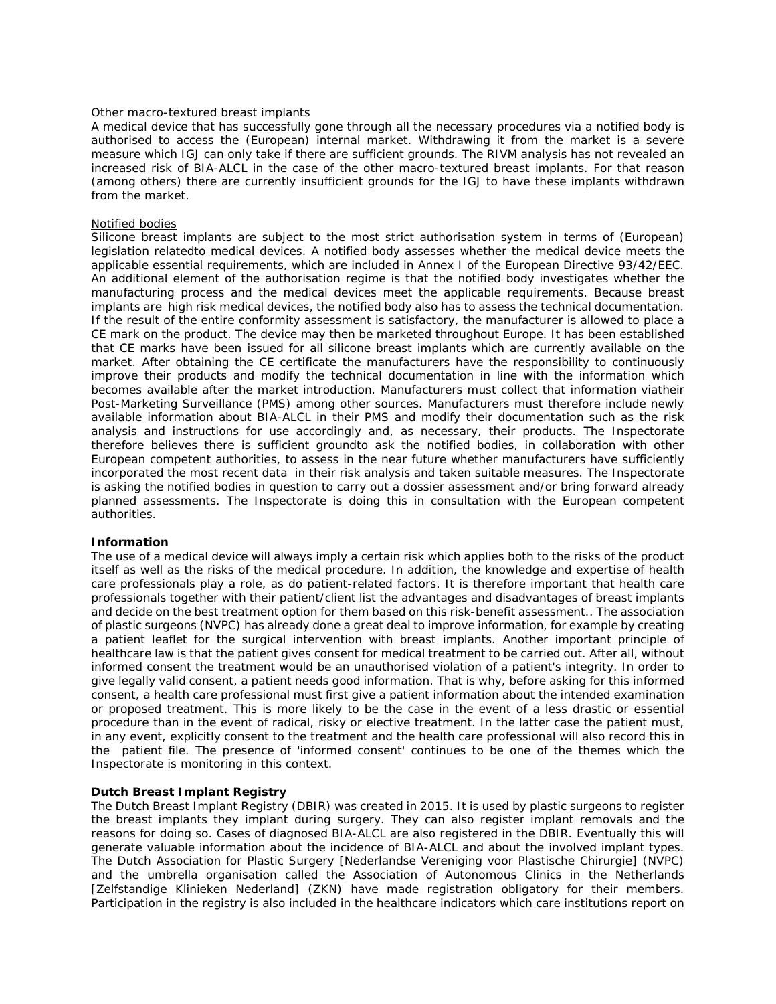### Other macro-textured breast implants

A medical device that has successfully gone through all the necessary procedures via a notified body is authorised to access the (European) internal market. Withdrawing it from the market is a severe measure which IGJ can only take if there are sufficient grounds. The RIVM analysis has not revealed an increased risk of BIA-ALCL in the case of the other macro-textured breast implants. For that reason (among others) there are currently insufficient grounds for the IGJ to have these implants withdrawn from the market.

## Notified bodies

Silicone breast implants are subject to the most strict authorisation system in terms of (European) legislation relatedto medical devices. A notified body assesses whether the medical device meets the applicable essential requirements, which are included in Annex I of the European Directive 93/42/EEC. An additional element of the authorisation regime is that the notified body investigates whether the manufacturing process and the medical devices meet the applicable requirements. Because breast implants are high risk medical devices, the notified body also has to assess the technical documentation. If the result of the entire conformity assessment is satisfactory, the manufacturer is allowed to place a CE mark on the product. The device may then be marketed throughout Europe. It has been established that CE marks have been issued for all silicone breast implants which are currently available on the market. After obtaining the CE certificate the manufacturers have the responsibility to continuously improve their products and modify the technical documentation in line with the information which becomes available after the market introduction. Manufacturers must collect that information viatheir Post-Marketing Surveillance (PMS) among other sources. Manufacturers must therefore include newly available information about BIA-ALCL in their PMS and modify their documentation such as the risk analysis and instructions for use accordingly and, as necessary, their products. The Inspectorate therefore believes there is sufficient groundto ask the notified bodies, in collaboration with other European competent authorities, to assess in the near future whether manufacturers have sufficiently incorporated the most recent data in their risk analysis and taken suitable measures. The Inspectorate is asking the notified bodies in question to carry out a dossier assessment and/or bring forward already planned assessments. The Inspectorate is doing this in consultation with the European competent authorities.

## **Information**

The use of a medical device will always imply a certain risk which applies both to the risks of the product itself as well as the risks of the medical procedure. In addition, the knowledge and expertise of health care professionals play a role, as do patient-related factors. It is therefore important that health care professionals together with their patient/client list the advantages and disadvantages of breast implants and decide on the best treatment option for them based on this risk-benefit assessment.. The association of plastic surgeons (NVPC) has already done a great deal to improve information, for example by creating a patient leaflet for the surgical intervention with breast implants. Another important principle of healthcare law is that the patient gives consent for medical treatment to be carried out. After all, without informed consent the treatment would be an unauthorised violation of a patient's integrity. In order to give legally valid consent, a patient needs good information. That is why, before asking for this informed consent, a health care professional must first give a patient information about the intended examination or proposed treatment. This is more likely to be the case in the event of a less drastic or essential procedure than in the event of radical, risky or elective treatment. In the latter case the patient must, in any event, explicitly consent to the treatment and the health care professional will also record this in the patient file. The presence of 'informed consent' continues to be one of the themes which the Inspectorate is monitoring in this context.

## **Dutch Breast Implant Registry**

The Dutch Breast Implant Registry (DBIR) was created in 2015. It is used by plastic surgeons to register the breast implants they implant during surgery. They can also register implant removals and the reasons for doing so. Cases of diagnosed BIA-ALCL are also registered in the DBIR. Eventually this will generate valuable information about the incidence of BIA-ALCL and about the involved implant types. The Dutch Association for Plastic Surgery [Nederlandse Vereniging voor Plastische Chirurgie] (NVPC) and the umbrella organisation called the Association of Autonomous Clinics in the Netherlands [Zelfstandige Klinieken Nederland] (ZKN) have made registration obligatory for their members. Participation in the registry is also included in the healthcare indicators which care institutions report on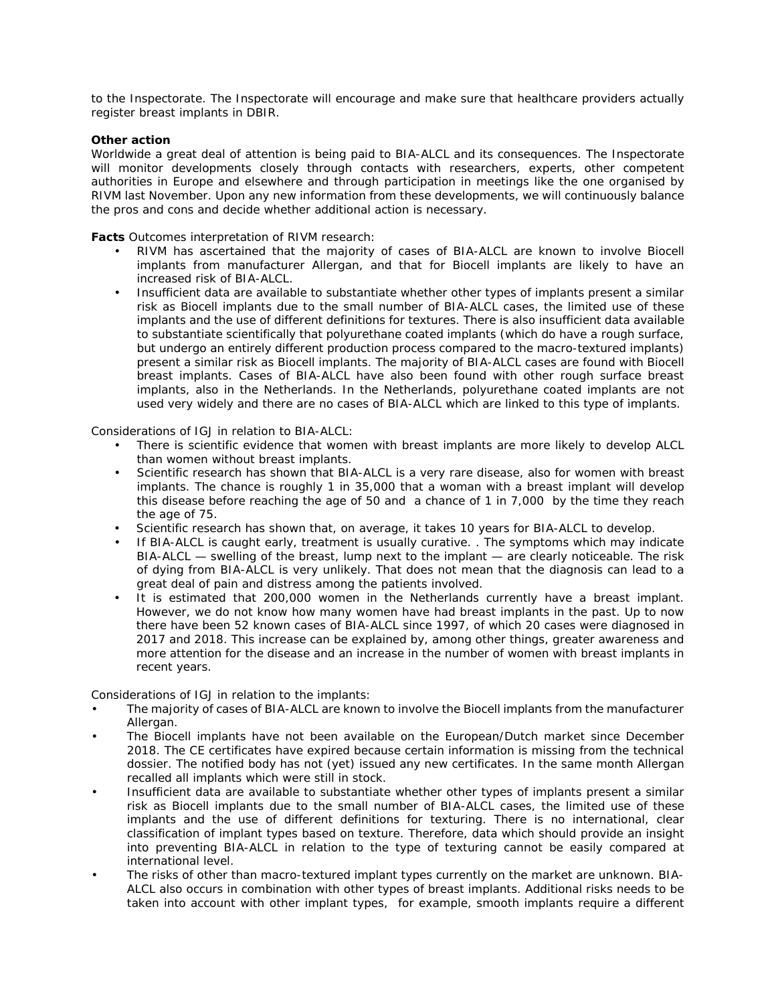to the Inspectorate. The Inspectorate will encourage and make sure that healthcare providers actually register breast implants in DBIR.

# **Other action**

Worldwide a great deal of attention is being paid to BIA-ALCL and its consequences. The Inspectorate will monitor developments closely through contacts with researchers, experts, other competent authorities in Europe and elsewhere and through participation in meetings like the one organised by RIVM last November. Upon any new information from these developments, we will continuously balance the pros and cons and decide whether additional action is necessary.

**Facts** Outcomes interpretation of RIVM research:

- RIVM has ascertained that the majority of cases of BIA-ALCL are known to involve Biocell implants from manufacturer Allergan, and that for Biocell implants are likely to have an increased risk of BIA-ALCL.
- Insufficient data are available to substantiate whether other types of implants present a similar risk as Biocell implants due to the small number of BIA-ALCL cases, the limited use of these implants and the use of different definitions for textures. There is also insufficient data available to substantiate scientifically that polyurethane coated implants (which do have a rough surface, but undergo an entirely different production process compared to the macro-textured implants) present a similar risk as Biocell implants. The majority of BIA-ALCL cases are found with Biocell breast implants. Cases of BIA-ALCL have also been found with other rough surface breast implants, also in the Netherlands. In the Netherlands, polyurethane coated implants are not used very widely and there are no cases of BIA-ALCL which are linked to this type of implants.

Considerations of IGJ in relation to BIA-ALCL:

- There is scientific evidence that women with breast implants are more likely to develop ALCL than women without breast implants.
- Scientific research has shown that BIA-ALCL is a very rare disease, also for women with breast implants. The chance is roughly 1 in 35,000 that a woman with a breast implant will develop this disease before reaching the age of 50 and a chance of 1 in 7,000 by the time they reach the age of 75.
- Scientific research has shown that, on average, it takes 10 years for BIA-ALCL to develop.
- If BIA-ALCL is caught early, treatment is usually curative. . The symptoms which may indicate BIA-ALCL — swelling of the breast, lump next to the implant — are clearly noticeable. The risk of dying from BIA-ALCL is very unlikely. That does not mean that the diagnosis can lead to a great deal of pain and distress among the patients involved.
- It is estimated that 200,000 women in the Netherlands currently have a breast implant. However, we do not know how many women have had breast implants in the past. Up to now there have been 52 known cases of BIA-ALCL since 1997, of which 20 cases were diagnosed in 2017 and 2018. This increase can be explained by, among other things, greater awareness and more attention for the disease and an increase in the number of women with breast implants in recent years.

Considerations of IGJ in relation to the implants:

- The majority of cases of BIA-ALCL are known to involve the Biocell implants from the manufacturer Allergan.
- The Biocell implants have not been available on the European/Dutch market since December 2018. The CE certificates have expired because certain information is missing from the technical dossier. The notified body has not (yet) issued any new certificates. In the same month Allergan recalled all implants which were still in stock.
- Insufficient data are available to substantiate whether other types of implants present a similar risk as Biocell implants due to the small number of BIA-ALCL cases, the limited use of these implants and the use of different definitions for texturing. There is no international, clear classification of implant types based on texture. Therefore, data which should provide an insight into preventing BIA-ALCL in relation to the type of texturing cannot be easily compared at international level.
- The risks of other than macro-textured implant types currently on the market are unknown. BIA-ALCL also occurs in combination with other types of breast implants. Additional risks needs to be taken into account with other implant types, for example, smooth implants require a different